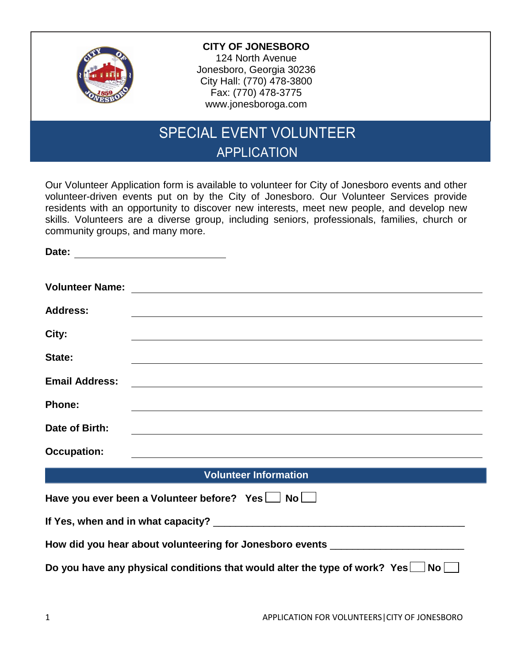

**Date:**

## **CITY OF JONESBORO**

124 North Avenue Jonesboro, Georgia 30236 City Hall: (770) 478-3800 Fax: (770) 478-3775 www.jonesboroga.com

## SPECIAL EVENT VOLUNTEER APPLICATION

Our Volunteer Application form is available to volunteer for City of Jonesboro events and other volunteer-driven events put on by the City of Jonesboro. Our Volunteer Services provide residents with an opportunity to discover new interests, meet new people, and develop new skills. Volunteers are a diverse group, including seniors, professionals, families, church or community groups, and many more.

| <b>Volunteer Name:</b>                                                             | <u> Alexandria de la contrada de la contrada de la contrada de la contrada de la contrada de la contrada de la c</u>   |  |  |
|------------------------------------------------------------------------------------|------------------------------------------------------------------------------------------------------------------------|--|--|
| <b>Address:</b>                                                                    | <u> 1989 - Johann Stoff, deutscher Stoffen und der Stoffen und der Stoffen und der Stoffen und der Stoffen und der</u> |  |  |
| City:                                                                              |                                                                                                                        |  |  |
| State:                                                                             |                                                                                                                        |  |  |
| <b>Email Address:</b>                                                              | <u> 1989 - Johann Stoff, Amerikaansk politiker († 1908)</u>                                                            |  |  |
| <b>Phone:</b>                                                                      | and the control of the control of the control of the control of the control of the control of the control of the       |  |  |
| Date of Birth:                                                                     |                                                                                                                        |  |  |
| <b>Occupation:</b>                                                                 |                                                                                                                        |  |  |
|                                                                                    |                                                                                                                        |  |  |
|                                                                                    | <b>Volunteer Information</b>                                                                                           |  |  |
| Have you ever been a Volunteer before? Yes   No                                    |                                                                                                                        |  |  |
|                                                                                    |                                                                                                                        |  |  |
|                                                                                    | How did you hear about volunteering for Jonesboro events _______________________                                       |  |  |
| Do you have any physical conditions that would alter the type of work? Yes<br>No l |                                                                                                                        |  |  |